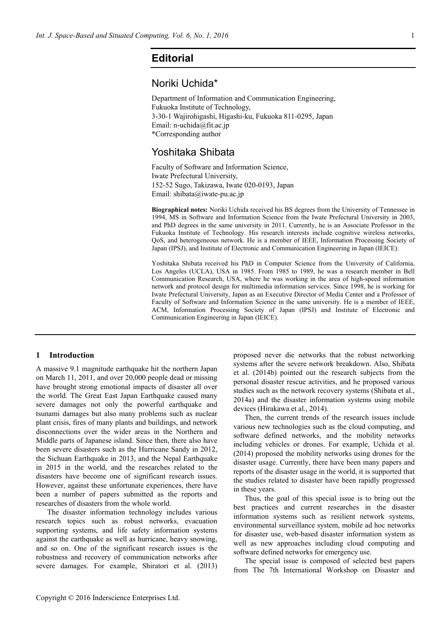# **Editorial**

# Noriki Uchida\*

Department of Information and Communication Engineering, Fukuoka Institute of Technology, 3-30-1 Wajirohigashi, Higashi-ku, Fukuoka 811-0295, Japan Email: n-uchida@fit.ac.jp \*Corresponding author

## Yoshitaka Shibata

Faculty of Software and Information Science, Iwate Prefectural University, 152-52 Sugo, Takizawa, Iwate 020-0193, Japan Email: shibata@iwate-pu.ac.jp

**Biographical notes:** Noriki Uchida received his BS degrees from the University of Tennessee in 1994, MS in Software and Information Science from the Iwate Prefectural University in 2003, and PhD degrees in the same university in 2011. Currently, he is an Associate Professor in the Fukuoka Institute of Technology. His research interests include cognitive wireless networks, QoS, and heterogeneous network. He is a member of IEEE, Information Processing Society of Japan (IPSJ), and Institute of Electronic and Communication Engineering in Japan (IEICE).

Yoshitaka Shibata received his PhD in Computer Science from the University of California, Los Angeles (UCLA), USA in 1985. From 1985 to 1989, he was a research member in Bell Communication Research, USA, where he was working in the area of high-speed information network and protocol design for multimedia information services. Since 1998, he is working for Iwate Prefectural University, Japan as an Executive Director of Media Center and a Professor of Faculty of Software and Information Science in the same university. He is a member of IEEE, ACM, Information Processing Society of Japan (IPSJ) and Institute of Electronic and Communication Engineering in Japan (IEICE).

#### **1 Introduction**

A massive 9.1 magnitude earthquake hit the northern Japan on March 11, 2011, and over 20,000 people dead or missing have brought strong emotional impacts of disaster all over the world. The Great East Japan Earthquake caused many severe damages not only the powerful earthquake and tsunami damages but also many problems such as nuclear plant crisis, fires of many plants and buildings, and network disconnections over the wider areas in the Northern and Middle parts of Japanese island. Since then, there also have been severe disasters such as the Hurricane Sandy in 2012, the Sichuan Earthquake in 2013, and the Nepal Earthquake in 2015 in the world, and the researches related to the disasters have become one of significant research issues. However, against these unfortunate experiences, there have been a number of papers submitted as the reports and researches of disasters from the whole world.

The disaster information technology includes various research topics such as robust networks, evacuation supporting systems, and life safety information systems against the earthquake as well as hurricane, heavy snowing, and so on. One of the significant research issues is the robustness and recovery of communication networks after severe damages. For example, Shiratori et al. (2013) proposed never die networks that the robust networking systems after the severe network breakdown. Also, Shibata et al. (2014b) pointed out the research subjects from the personal disaster rescue activities, and he proposed various studies such as the network recovery systems (Shibata et al., 2014a) and the disaster information systems using mobile devices (Hirakawa et al., 2014).

Then, the current trends of the research issues include various new technologies such as the cloud computing, and software defined networks, and the mobility networks including vehicles or drones. For example, Uchida et al. (2014) proposed the mobility networks using drones for the disaster usage. Currently, there have been many papers and reports of the disaster usage in the world, it is supported that the studies related to disaster have been rapidly progressed in these years.

Thus, the goal of this special issue is to bring out the best practices and current researches in the disaster information systems such as resilient network systems, environmental surveillance system, mobile ad hoc networks for disaster use, web-based disaster information system as well as new approaches including cloud computing and software defined networks for emergency use.

The special issue is composed of selected best papers from The 7th International Workshop on Disaster and